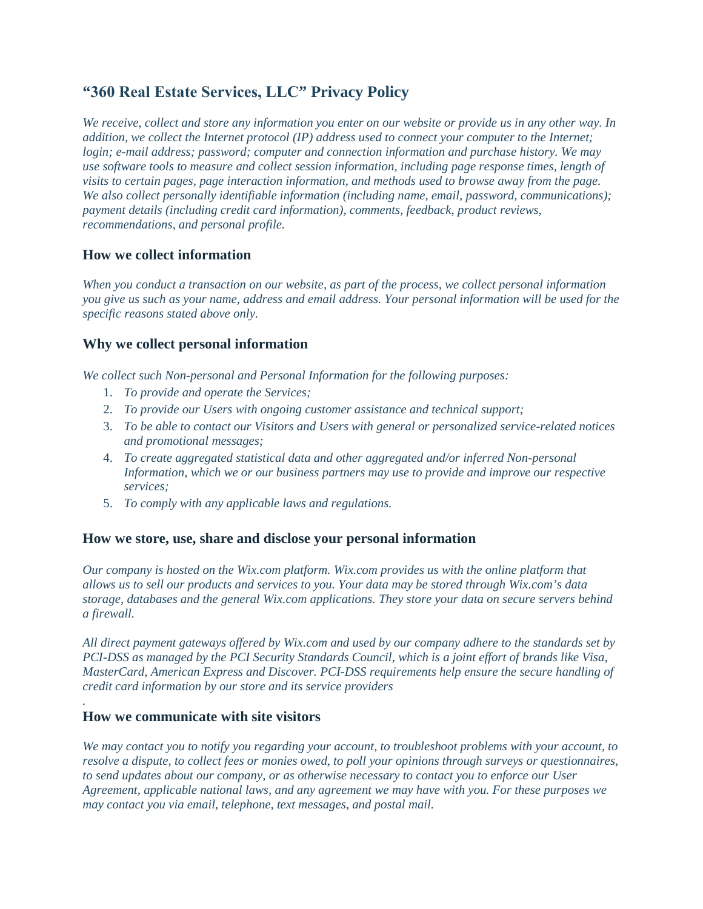# **"360 Real Estate Services, LLC" Privacy Policy**

*We receive, collect and store any information you enter on our website or provide us in any other way. In addition, we collect the Internet protocol (IP) address used to connect your computer to the Internet; login; e-mail address; password; computer and connection information and purchase history. We may use software tools to measure and collect session information, including page response times, length of visits to certain pages, page interaction information, and methods used to browse away from the page. We also collect personally identifiable information (including name, email, password, communications); payment details (including credit card information), comments, feedback, product reviews, recommendations, and personal profile.* 

## **How we collect information**

*When you conduct a transaction on our website, as part of the process, we collect personal information you give us such as your name, address and email address. Your personal information will be used for the specific reasons stated above only.*

## **Why we collect personal information**

*We collect such Non-personal and Personal Information for the following purposes:*

- 1. *To provide and operate the Services;*
- 2. *To provide our Users with ongoing customer assistance and technical support;*
- 3. *To be able to contact our Visitors and Users with general or personalized service-related notices and promotional messages;*
- 4. *To create aggregated statistical data and other aggregated and/or inferred Non-personal Information, which we or our business partners may use to provide and improve our respective services;*
- 5. *To comply with any applicable laws and regulations.*

### **How we store, use, share and disclose your personal information**

*Our company is hosted on the Wix.com platform. Wix.com provides us with the online platform that allows us to sell our products and services to you. Your data may be stored through Wix.com's data storage, databases and the general Wix.com applications. They store your data on secure servers behind a firewall.* 

*All direct payment gateways offered by Wix.com and used by our company adhere to the standards set by PCI-DSS as managed by the PCI Security Standards Council, which is a joint effort of brands like Visa, MasterCard, American Express and Discover. PCI-DSS requirements help ensure the secure handling of credit card information by our store and its service providers*

# **How we communicate with site visitors**

*.*

*We may contact you to notify you regarding your account, to troubleshoot problems with your account, to resolve a dispute, to collect fees or monies owed, to poll your opinions through surveys or questionnaires, to send updates about our company, or as otherwise necessary to contact you to enforce our User Agreement, applicable national laws, and any agreement we may have with you. For these purposes we may contact you via email, telephone, text messages, and postal mail.*